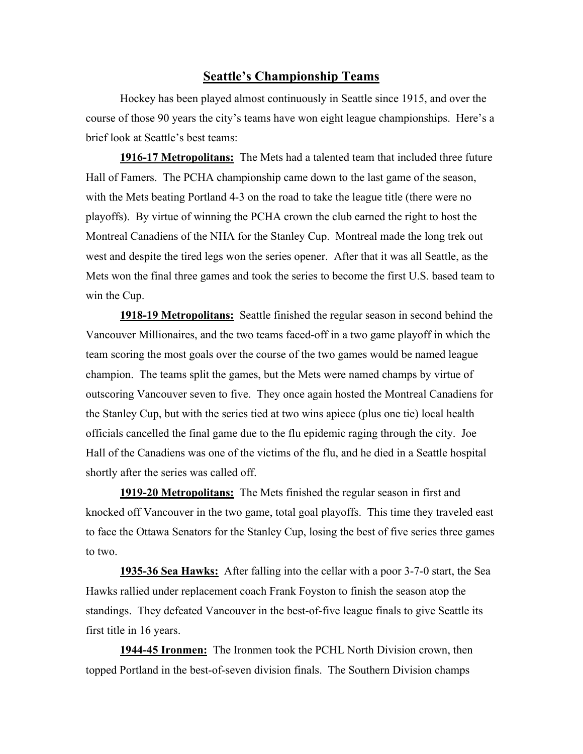## **Seattle's Championship Teams**

Hockey has been played almost continuously in Seattle since 1915, and over the course of those 90 years the city's teams have won eight league championships. Here's a brief look at Seattle's best teams:

**1916-17 Metropolitans:** The Mets had a talented team that included three future Hall of Famers. The PCHA championship came down to the last game of the season, with the Mets beating Portland 4-3 on the road to take the league title (there were no playoffs). By virtue of winning the PCHA crown the club earned the right to host the Montreal Canadiens of the NHA for the Stanley Cup. Montreal made the long trek out west and despite the tired legs won the series opener. After that it was all Seattle, as the Mets won the final three games and took the series to become the first U.S. based team to win the Cup.

**1918-19 Metropolitans:** Seattle finished the regular season in second behind the Vancouver Millionaires, and the two teams faced-off in a two game playoff in which the team scoring the most goals over the course of the two games would be named league champion. The teams split the games, but the Mets were named champs by virtue of outscoring Vancouver seven to five. They once again hosted the Montreal Canadiens for the Stanley Cup, but with the series tied at two wins apiece (plus one tie) local health officials cancelled the final game due to the flu epidemic raging through the city. Joe Hall of the Canadiens was one of the victims of the flu, and he died in a Seattle hospital shortly after the series was called off.

**1919-20 Metropolitans:** The Mets finished the regular season in first and knocked off Vancouver in the two game, total goal playoffs. This time they traveled east to face the Ottawa Senators for the Stanley Cup, losing the best of five series three games to two.

**1935-36 Sea Hawks:** After falling into the cellar with a poor 3-7-0 start, the Sea Hawks rallied under replacement coach Frank Foyston to finish the season atop the standings. They defeated Vancouver in the best-of-five league finals to give Seattle its first title in 16 years.

**1944-45 Ironmen:** The Ironmen took the PCHL North Division crown, then topped Portland in the best-of-seven division finals. The Southern Division champs